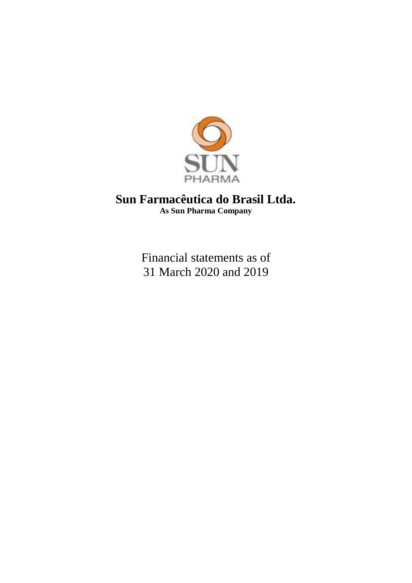

# **Sun Farmacêutica do Brasil Ltda. As Sun Pharma Company**

Financial statements as of 31 March 2020 and 2019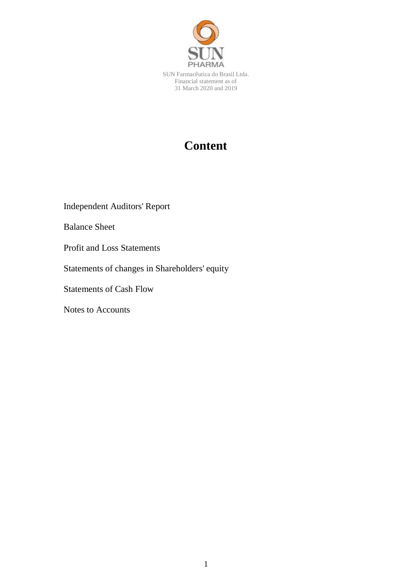

# **Content**

Independent Auditors' Report

Balance Sheet

Profit and Loss Statements

Statements of changes in Shareholders' equity

Statements of Cash Flow

Notes to Accounts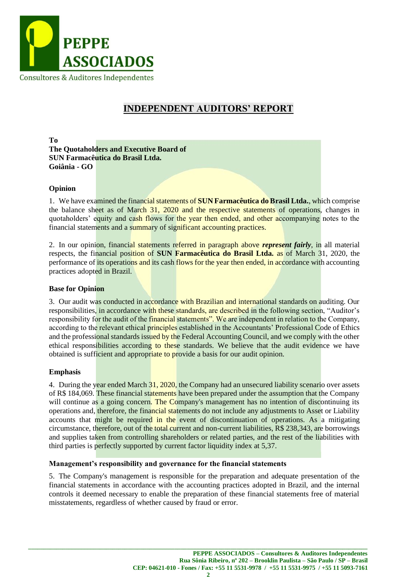

# **INDEPENDENT AUDITORS' REPORT**

**To The Quotaholders and Executive Board of SUN Farmacêutica do Brasil Ltda. Goiânia - GO**

# **Opinion**

1. We have examined the financial statements of **SUN Farmacêutica do Brasil Ltda.**, which comprise the balance sheet as of March 31, 2020 and the respective statements of operations, changes in quotaholders' equity and cash flows for the year then ended, and other accompanying notes to the financial statements and a summary of significant accounting practices.

2. In our opinion, financial statements referred in paragraph above *represent fairly*, in all material respects, the financial position of **SUN Farmacêutica do Brasil Ltda.** as of March 31, 2020, the performance of its operations and its cash flows for the year then ended, in accordance with accounting practices adopted in Brazil.

#### **Base for Opinion**

3. Our audit was conducted in accordance with Brazilian and international standards on auditing. Our responsibilities, in accordance with these standards, are described in the following section, "Auditor's responsibility for the audit of the financial statements". We are independent in relation to the Company, according to the relevant ethical principles established in the Accountants' Professional Code of Ethics and the professional standards issued by the Federal Accounting Council, and we comply with the other ethical responsibilities according to these standards. We believe that the audit evidence we have obtained is sufficient and appropriate to provide a basis for our audit opinion.

#### **Emphasis**

4. During the year ended March 31, 2020, the Company had an unsecured liability scenario over assets of R\$ 184,069. These financial statements have been prepared under the assumption that the Company will continue as a going concern. The Company's management has no intention of discontinuing its operations and, therefore, the financial statements do not include any adjustments to Asset or Liability accounts that might be required in the event of discontinuation of operations. As a mitigating circumstance, therefore, out of the total current and non-current liabilities, R\$ 238,343, are borrowings and supplies taken from controlling shareholders or related parties, and the rest of the liabilities with third parties is perfectly supported by current factor liquidity index at 5,37.

#### **Management's responsibility and governance for the financial statements**

5. The Company's management is responsible for the preparation and adequate presentation of the financial statements in accordance with the accounting practices adopted in Brazil, and the internal controls it deemed necessary to enable the preparation of these financial statements free of material misstatements, regardless of whether caused by fraud or error.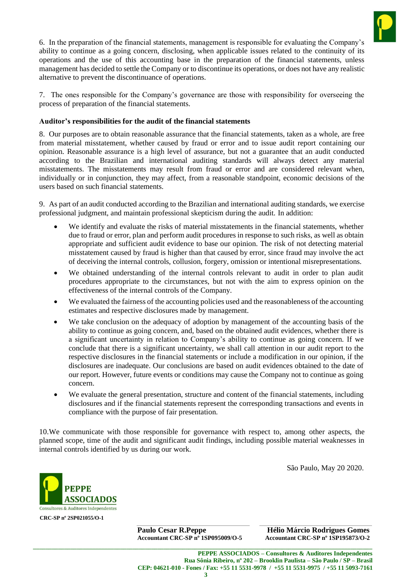

6. In the preparation of the financial statements, management is responsible for evaluating the Company's ability to continue as a going concern, disclosing, when applicable issues related to the continuity of its operations and the use of this accounting base in the preparation of the financial statements, unless management has decided to settle the Company or to discontinue its operations, or does not have any realistic alternative to prevent the discontinuance of operations.

7. The ones responsible for the Company's governance are those with responsibility for overseeing the process of preparation of the financial statements.

### **Auditor's responsibilities for the audit of the financial statements**

8. Our purposes are to obtain reasonable assurance that the financial statements, taken as a whole, are free from material misstatement, whether caused by fraud or error and to issue audit report containing our opinion. Reasonable assurance is a high level of assurance, but not a guarantee that an audit conducted according to the Brazilian and international auditing standards will always detect any material misstatements. The misstatements may result from fraud or error and are considered relevant when, individually or in conjunction, they may affect, from a reasonable standpoint, economic decisions of the users based on such financial statements.

9. As part of an audit conducted according to the Brazilian and international auditing standards, we exercise professional judgment, and maintain professional skepticism during the audit. In addition:

- We identify and evaluate the risks of material misstatements in the financial statements, whether due to fraud or error, plan and perform audit procedures in response to such risks, as well as obtain appropriate and sufficient audit evidence to base our opinion. The risk of not detecting material misstatement caused by fraud is higher than that caused by error, since fraud may involve the act of deceiving the internal controls, collusion, forgery, omission or intentional misrepresentations.
- We obtained understanding of the internal controls relevant to audit in order to plan audit procedures appropriate to the circumstances, but not with the aim to express opinion on the effectiveness of the internal controls of the Company.
- We evaluated the fairness of the accounting policies used and the reasonableness of the accounting estimates and respective disclosures made by management.
- We take conclusion on the adequacy of adoption by management of the accounting basis of the ability to continue as going concern, and, based on the obtained audit evidences, whether there is a significant uncertainty in relation to Company's ability to continue as going concern. If we conclude that there is a significant uncertainty, we shall call attention in our audit report to the respective disclosures in the financial statements or include a modification in our opinion, if the disclosures are inadequate. Our conclusions are based on audit evidences obtained to the date of our report. However, future events or conditions may cause the Company not to continue as going concern.
- We evaluate the general presentation, structure and content of the financial statements, including disclosures and if the financial statements represent the corresponding transactions and events in compliance with the purpose of fair presentation.

10.We communicate with those responsible for governance with respect to, among other aspects, the planned scope, time of the audit and significant audit findings, including possible material weaknesses in internal controls identified by us during our work.

São Paulo, May 20 2020.



**Paulo Cesar R.Peppe Hélio Márcio Rodrigues Gomes Accountant CRC-SP nº 1SP095009/O-5 Accountant CRC-SP nº 1SP195873/O-2**

**\_\_\_\_\_\_\_\_\_\_\_\_\_\_\_\_\_\_\_\_\_\_\_\_\_\_\_\_\_\_\_\_\_\_\_\_\_\_\_\_\_\_\_\_\_\_\_\_\_\_\_\_\_\_\_\_\_\_\_\_\_\_\_\_\_\_\_\_\_\_\_\_\_\_\_\_\_\_\_\_\_\_\_\_\_\_\_\_\_\_\_\_\_\_\_\_\_\_\_\_\_\_\_\_\_\_\_\_\_**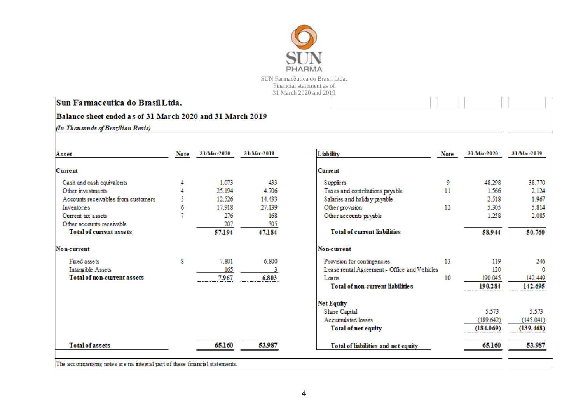

# Sun Farmaceutica do Brasil Ltda.

# Balance sheet ended as of 31 March 2020 and 31 March 2019

(In Thousands of Brazilian Reais)

| Asset                               | Note | 31/Mar-2020 | 31/Mar-2019 | Liability                                    | Note | 31/Mar-2020 | 31/Mar-2019 |
|-------------------------------------|------|-------------|-------------|----------------------------------------------|------|-------------|-------------|
| <b>Current</b>                      |      |             |             | <b>Current</b>                               |      |             |             |
| Cash and cash equivalents           |      | 1.073       | 433         | Suppliers                                    | 9    | 48.298      | 38.770      |
| Other investments                   |      | 25.194      | 4.706       | Taxes and contributions payable              | 11   | 1.566       | 2.124       |
| Accounts receivables from customers |      | 12.526      | 14.433      | Salaries and holiday payable                 |      | 2.518       | 1.967       |
| Inventories                         | 6    | 17.918      | 27.139      | Other provision                              | 12   | 5.305       | 5.814       |
| Current tax assets                  |      | 276         | 168         | Other accounts payable                       |      | 1.258       | 2.085       |
| Other accounts receivable           |      | 207         | 305         |                                              |      |             |             |
| <b>Total of current assets</b>      |      | 57.194      | 47.184      | <b>Total of current liabilities</b>          |      | 58.944      | 50.760      |
| Non-current                         |      |             |             | Non-current                                  |      |             |             |
| Fixed assets                        | 8    | 7.801       | 6.800       | Provision for contingencies                  | 13   | 119         | 246         |
| Intangible Assets                   |      | 165         |             | Lease rental Agreement - Office and Vehicles |      | 120         | 0           |
| <b>Total of non-current assets</b>  |      | 7.967       | 6.803       | Loans                                        | 10   | 190.045     | 142.449     |
|                                     |      |             |             | Total of non-current liabilities             |      | 190.284     | 142.695     |
|                                     |      |             |             | Net Equity                                   |      |             |             |
|                                     |      |             |             | Share Capital                                |      | 5.573       | 5.573       |
|                                     |      |             |             | Accumulated losses                           |      | (189.642)   | (145.041)   |
|                                     |      |             |             | Total of net equity                          |      | (184.069)   | (139.468)   |
| <b>Total of assets</b>              |      | 65.160      | 53.987      | Total of liabilities and net equity          |      | 65.160      | 53.987      |
|                                     |      |             |             |                                              |      |             |             |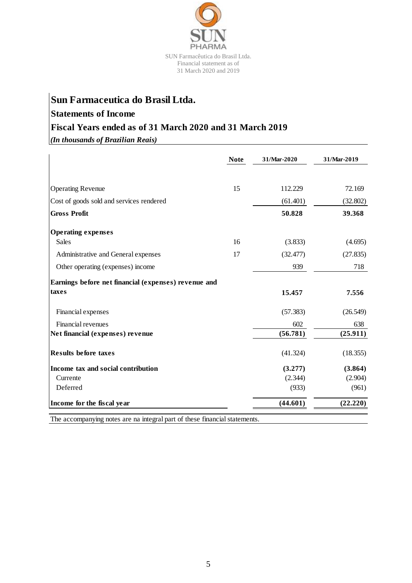

# **Sun Farmaceutica do Brasil Ltda.**

# **Statements of Income**

# **Fiscal Years ended as of 31 March 2020 and 31 March 2019**

*(In thousands of Brazilian Reais)*

|                                                      | <b>Note</b> | 31/Mar-2020 | 31/Mar-2019 |
|------------------------------------------------------|-------------|-------------|-------------|
| <b>Operating Revenue</b>                             | 15          | 112.229     | 72.169      |
|                                                      |             |             |             |
| Cost of goods sold and services rendered             |             | (61.401)    | (32.802)    |
| <b>Gross Profit</b>                                  |             | 50.828      | 39.368      |
| <b>Operating expenses</b>                            |             |             |             |
| <b>Sales</b>                                         | 16          | (3.833)     | (4.695)     |
| Administrative and General expenses                  | 17          | (32.477)    | (27.835)    |
| Other operating (expenses) income                    |             | 939         | 718         |
| Earnings before net financial (expenses) revenue and |             |             |             |
| taxes                                                |             | 15.457      | 7.556       |
| Financial expenses                                   |             | (57.383)    | (26.549)    |
| Financial revenues                                   |             | 602         | 638         |
| Net financial (expenses) revenue                     |             | (56.781)    | (25.911)    |
| <b>Results before taxes</b>                          |             | (41.324)    | (18.355)    |
| Income tax and social contribution                   |             | (3.277)     | (3.864)     |
| Currente                                             |             | (2.344)     | (2.904)     |
| Deferred                                             |             | (933)       | (961)       |
| Income for the fiscal year                           |             | (44.601)    | (22.220)    |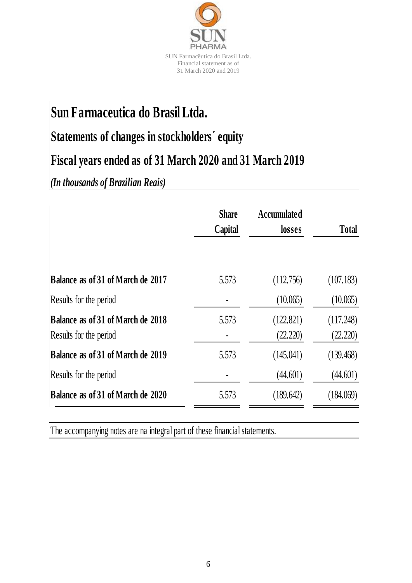

# **Sun Farmaceutica do Brasil Ltda.**

# **Statements of changes in stockholders´ equity**

# **Fiscal years ended as of 31 March 2020 and 31 March 2019**

*(In thousands of Brazilian Reais)*

|                                                             | <b>Share</b><br>Capital | <b>Accumulated</b><br>losses | <b>Total</b>          |
|-------------------------------------------------------------|-------------------------|------------------------------|-----------------------|
| Balance as of 31 of March de 2017                           | 5.573                   | (112.756)                    | (107.183)             |
| Results for the period                                      |                         | (10.065)                     | (10.065)              |
| Balance as of 31 of March de 2018<br>Results for the period | 5.573                   | (122.821)<br>(22.220)        | (117.248)<br>(22.220) |
| Balance as of 31 of March de 2019                           | 5.573                   | (145.041)                    | (139.468)             |
| Results for the period                                      |                         | (44.601)                     | (44.601)              |
| Balance as of 31 of March de 2020                           | 5.573                   | (189.642)                    | (184.069)             |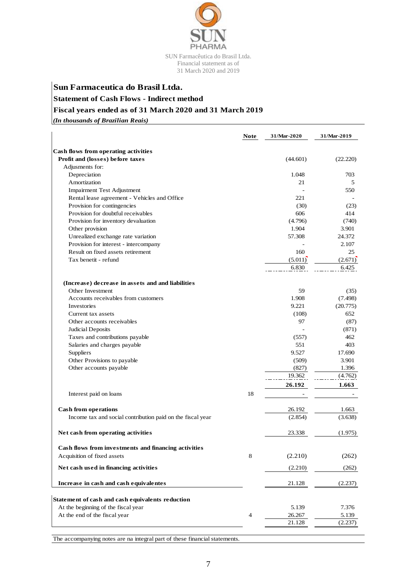

# **Sun Farmaceutica do Brasil Ltda. Statement of Cash Flows - Indirect method Fiscal years ended as of 31 March 2020 and 31 March 2019**

*(In thousands of Brazilian Reais)*

|                                                            | <b>Note</b> | 31/Mar-2020 | 31/Mar-2019 |
|------------------------------------------------------------|-------------|-------------|-------------|
| Cash flows from operating activities                       |             |             |             |
| Profit and (losses) before taxes                           |             | (44.601)    | (22.220)    |
| Adjusments for:                                            |             |             |             |
| Depreciation                                               |             | 1.048       | 703         |
| Amortization                                               |             | 21          | 5           |
| Impairment Test Adjustment                                 |             |             | 550         |
| Rental lease agreement - Vehicles and Office               |             | 221         |             |
| Provision for contingencies                                |             | (30)        | (23)        |
| Provision for doubtful receivables                         |             | 606         | 414         |
| Provision for inventory devaluation                        |             | (4.796)     | (740)       |
| Other provision                                            |             | 1.904       | 3.901       |
| Unrealized exchange rate variation                         |             | 57.308      | 24.372      |
| Provision for interest - intercompany                      |             |             | 2.107       |
| Result on fixed assets retirement                          |             | 160         | 25          |
| Tax benetit - refund                                       |             | (5.011)     | (2.671)     |
|                                                            |             | 6.830       | 6.425       |
| (Increase) decrease in assets and and liabilities          |             |             |             |
| Other Investment                                           |             | 59          | (35)        |
| Accounts receivables from customers                        |             | 1.908       | (7.498)     |
| Investories                                                |             | 9.221       | (20.775)    |
| Current tax assets                                         |             | (108)       | 652         |
| Other accounts receivables                                 |             | 97          | (87)        |
| Judicial Deposits                                          |             |             | (871)       |
| Taxes and contributions payable                            |             | (557)       | 462         |
| Salaries and charges payable                               |             | 551         | 403         |
| Suppliers                                                  |             | 9.527       | 17.690      |
| Other Provisions to payable                                |             | (509)       | 3.901       |
| Other accounts payable                                     |             | (827)       | 1.396       |
|                                                            |             | 19.362      | (4.762)     |
|                                                            |             | 26.192      | 1.663       |
| Interest paid on loans                                     | 18          |             |             |
| <b>Cash from operations</b>                                |             | 26.192      | 1.663       |
| Income tax and social contribution paid on the fiscal year |             | (2.854)     | (3.638)     |
|                                                            |             |             |             |
| Net cash from operating activities                         |             | 23.338      | (1.975)     |
| Cash flows from investments and financing activities       |             |             |             |
| Acquisition of fixed assets                                | 8           | (2.210)     | (262)       |
| Net cash used in financing activities                      |             | (2.210)     | (262)       |
| Increase in cash and cash equivalentes                     |             | 21.128      | (2.237)     |
| Statement of cash and cash equivalents reduction           |             |             |             |
| At the beginning of the fiscal year                        |             | 5.139       | 7.376       |
| At the end of the fiscal year                              | 4           | 26.267      | 5.139       |
|                                                            |             | 21.128      | (2.237)     |
|                                                            |             |             |             |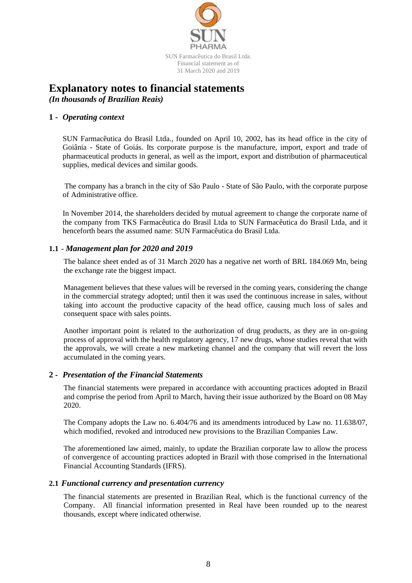

# **Explanatory notes to financial statements**

*(In thousands of Brazilian Reais)*

# **1 -** *Operating context*

SUN Farmacêutica do Brasil Ltda., founded on April 10, 2002, has its head office in the city of Goiânia - State of Goiás. Its corporate purpose is the manufacture, import, export and trade of pharmaceutical products in general, as well as the import, export and distribution of pharmaceutical supplies, medical devices and similar goods.

The company has a branch in the city of São Paulo - State of São Paulo, with the corporate purpose of Administrative office.

In November 2014, the shareholders decided by mutual agreement to change the corporate name of the company from TKS Farmacêutica do Brasil Ltda to SUN Farmacêutica do Brasil Ltda, and it henceforth bears the assumed name: SUN Farmacêutica do Brasil Ltda.

# **1.1 -** *Management plan for 2020 and 2019*

The balance sheet ended as of 31 March 2020 has a negative net worth of BRL 184.069 Mn, being the exchange rate the biggest impact.

Management believes that these values will be reversed in the coming years, considering the change in the commercial strategy adopted; until then it was used the continuous increase in sales, without taking into account the productive capacity of the head office, causing much loss of sales and consequent space with sales points.

Another important point is related to the authorization of drug products, as they are in on-going process of approval with the health regulatory agency, 17 new drugs, whose studies reveal that with the approvals, we will create a new marketing channel and the company that will revert the loss accumulated in the coming years.

# **2 -** *Presentation of the Financial Statements*

The financial statements were prepared in accordance with accounting practices adopted in Brazil and comprise the period from April to March, having their issue authorized by the Board on 08 May 2020.

The Company adopts the Law no. 6.404/76 and its amendments introduced by Law no. 11.638/07, which modified, revoked and introduced new provisions to the Brazilian Companies Law.

The aforementioned law aimed, mainly, to update the Brazilian corporate law to allow the process of convergence of accounting practices adopted in Brazil with those comprised in the International Financial Accounting Standards (IFRS).

# **2.1** *Functional currency and presentation currency*

The financial statements are presented in Brazilian Real, which is the functional currency of the Company. All financial information presented in Real have been rounded up to the nearest thousands, except where indicated otherwise.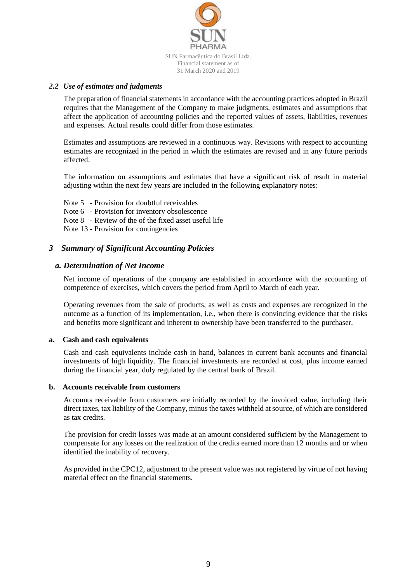

### *2.2 Use of estimates and judgments*

The preparation of financial statements in accordance with the accounting practices adopted in Brazil requires that the Management of the Company to make judgments, estimates and assumptions that affect the application of accounting policies and the reported values of assets, liabilities, revenues and expenses. Actual results could differ from those estimates.

Estimates and assumptions are reviewed in a continuous way. Revisions with respect to accounting estimates are recognized in the period in which the estimates are revised and in any future periods affected.

The information on assumptions and estimates that have a significant risk of result in material adjusting within the next few years are included in the following explanatory notes:

- Note 5 Provision for doubtful receivables
- Note 6 Provision for inventory obsolescence
- Note 8 Review of the of the fixed asset useful life

Note 13 - Provision for contingencies

### *3 Summary of Significant Accounting Policies*

#### *a. Determination of Net Income*

Net income of operations of the company are established in accordance with the accounting of competence of exercises, which covers the period from April to March of each year.

Operating revenues from the sale of products, as well as costs and expenses are recognized in the outcome as a function of its implementation, i.e., when there is convincing evidence that the risks and benefits more significant and inherent to ownership have been transferred to the purchaser.

#### **a. Cash and cash equivalents**

Cash and cash equivalents include cash in hand, balances in current bank accounts and financial investments of high liquidity. The financial investments are recorded at cost, plus income earned during the financial year, duly regulated by the central bank of Brazil.

#### **b. Accounts receivable from customers**

Accounts receivable from customers are initially recorded by the invoiced value, including their direct taxes, tax liability of the Company, minus the taxes withheld at source, of which are considered as tax credits.

The provision for credit losses was made at an amount considered sufficient by the Management to compensate for any losses on the realization of the credits earned more than 12 months and or when identified the inability of recovery.

As provided in the CPC12, adjustment to the present value was not registered by virtue of not having material effect on the financial statements.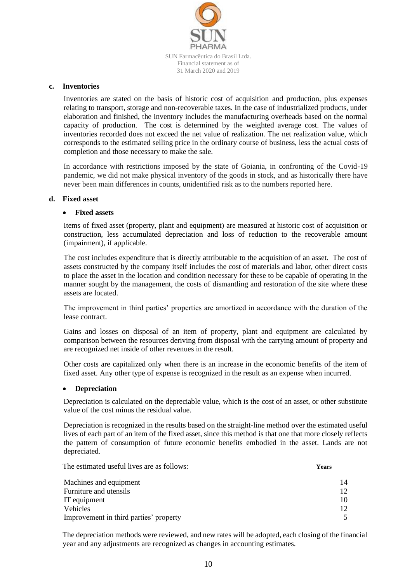

#### **c. Inventories**

Inventories are stated on the basis of historic cost of acquisition and production, plus expenses relating to transport, storage and non-recoverable taxes. In the case of industrialized products, under elaboration and finished, the inventory includes the manufacturing overheads based on the normal capacity of production. The cost is determined by the weighted average cost. The values of inventories recorded does not exceed the net value of realization. The net realization value, which corresponds to the estimated selling price in the ordinary course of business, less the actual costs of completion and those necessary to make the sale.

In accordance with restrictions imposed by the state of Goiania, in confronting of the Covid-19 pandemic, we did not make physical inventory of the goods in stock, and as historically there have never been main differences in counts, unidentified risk as to the numbers reported here.

#### **d. Fixed asset**

#### **Fixed assets**

Items of fixed asset (property, plant and equipment) are measured at historic cost of acquisition or construction, less accumulated depreciation and loss of reduction to the recoverable amount (impairment), if applicable.

The cost includes expenditure that is directly attributable to the acquisition of an asset. The cost of assets constructed by the company itself includes the cost of materials and labor, other direct costs to place the asset in the location and condition necessary for these to be capable of operating in the manner sought by the management, the costs of dismantling and restoration of the site where these assets are located.

The improvement in third parties' properties are amortized in accordance with the duration of the lease contract.

Gains and losses on disposal of an item of property, plant and equipment are calculated by comparison between the resources deriving from disposal with the carrying amount of property and are recognized net inside of other revenues in the result.

Other costs are capitalized only when there is an increase in the economic benefits of the item of fixed asset. Any other type of expense is recognized in the result as an expense when incurred.

#### **Depreciation**

Depreciation is calculated on the depreciable value, which is the cost of an asset, or other substitute value of the cost minus the residual value.

Depreciation is recognized in the results based on the straight-line method over the estimated useful lives of each part of an item of the fixed asset, since this method is that one that more closely reflects the pattern of consumption of future economic benefits embodied in the asset. Lands are not depreciated.

The estimated useful lives are as follows: **Years**

Machines and equipment 14 Furniture and utensils 12 IT equipment 10 Vehicles 12 Improvement in third parties' property 5

The depreciation methods were reviewed, and new rates will be adopted, each closing of the financial year and any adjustments are recognized as changes in accounting estimates.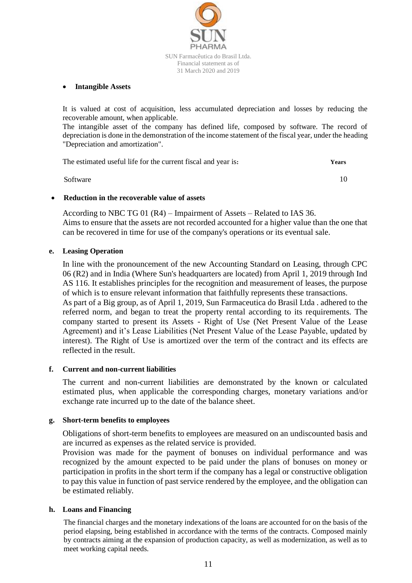

#### **Intangible Assets**

It is valued at cost of acquisition, less accumulated depreciation and losses by reducing the recoverable amount, when applicable.

The intangible asset of the company has defined life, composed by software. The record of depreciation is done in the demonstration of the income statement of the fiscal year, under the heading "Depreciation and amortization".

| The estimated useful life for the current fiscal and year is: | Years |
|---------------------------------------------------------------|-------|
| Software                                                      |       |

### **Reduction in the recoverable value of assets**

According to NBC TG 01 (R4) – Impairment of Assets – Related to IAS 36. Aims to ensure that the assets are not recorded accounted for a higher value than the one that can be recovered in time for use of the company's operations or its eventual sale.

### **e. Leasing Operation**

In line with the pronouncement of the new Accounting Standard on Leasing, through CPC 06 (R2) and in India (Where Sun's headquarters are located) from April 1, 2019 through Ind AS 116. It establishes principles for the recognition and measurement of leases, the purpose of which is to ensure relevant information that faithfully represents these transactions.

As part of a Big group, as of April 1, 2019, Sun Farmaceutica do Brasil Ltda . adhered to the referred norm, and began to treat the property rental according to its requirements. The company started to present its Assets - Right of Use (Net Present Value of the Lease Agreement) and it's Lease Liabilities (Net Present Value of the Lease Payable, updated by interest). The Right of Use is amortized over the term of the contract and its effects are reflected in the result.

# **f. Current and non-current liabilities**

The current and non-current liabilities are demonstrated by the known or calculated estimated plus, when applicable the corresponding charges, monetary variations and/or exchange rate incurred up to the date of the balance sheet.

# **g. Short-term benefits to employees**

Obligations of short-term benefits to employees are measured on an undiscounted basis and are incurred as expenses as the related service is provided.

Provision was made for the payment of bonuses on individual performance and was recognized by the amount expected to be paid under the plans of bonuses on money or participation in profits in the short term if the company has a legal or constructive obligation to pay this value in function of past service rendered by the employee, and the obligation can be estimated reliably.

#### **h. Loans and Financing**

The financial charges and the monetary indexations of the loans are accounted for on the basis of the period elapsing, being established in accordance with the terms of the contracts. Composed mainly by contracts aiming at the expansion of production capacity, as well as modernization, as well as to meet working capital needs.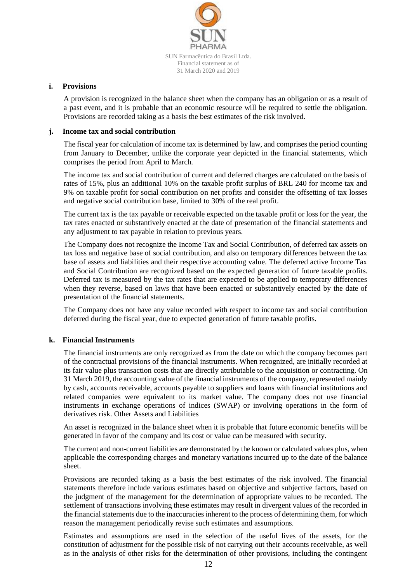

#### **i. Provisions**

A provision is recognized in the balance sheet when the company has an obligation or as a result of a past event, and it is probable that an economic resource will be required to settle the obligation. Provisions are recorded taking as a basis the best estimates of the risk involved.

#### **j. Income tax and social contribution**

The fiscal year for calculation of income tax is determined by law, and comprises the period counting from January to December, unlike the corporate year depicted in the financial statements, which comprises the period from April to March.

The income tax and social contribution of current and deferred charges are calculated on the basis of rates of 15%, plus an additional 10% on the taxable profit surplus of BRL 240 for income tax and 9% on taxable profit for social contribution on net profits and consider the offsetting of tax losses and negative social contribution base, limited to 30% of the real profit.

The current tax is the tax payable or receivable expected on the taxable profit or loss for the year, the tax rates enacted or substantively enacted at the date of presentation of the financial statements and any adjustment to tax payable in relation to previous years.

The Company does not recognize the Income Tax and Social Contribution, of deferred tax assets on tax loss and negative base of social contribution, and also on temporary differences between the tax base of assets and liabilities and their respective accounting value. The deferred active Income Tax and Social Contribution are recognized based on the expected generation of future taxable profits. Deferred tax is measured by the tax rates that are expected to be applied to temporary differences when they reverse, based on laws that have been enacted or substantively enacted by the date of presentation of the financial statements.

The Company does not have any value recorded with respect to income tax and social contribution deferred during the fiscal year, due to expected generation of future taxable profits.

#### **k. Financial Instruments**

The financial instruments are only recognized as from the date on which the company becomes part of the contractual provisions of the financial instruments. When recognized, are initially recorded at its fair value plus transaction costs that are directly attributable to the acquisition or contracting. On 31 March 2019, the accounting value of the financial instruments of the company, represented mainly by cash, accounts receivable, accounts payable to suppliers and loans with financial institutions and related companies were equivalent to its market value. The company does not use financial instruments in exchange operations of indices (SWAP) or involving operations in the form of derivatives risk. Other Assets and Liabilities

An asset is recognized in the balance sheet when it is probable that future economic benefits will be generated in favor of the company and its cost or value can be measured with security.

The current and non-current liabilities are demonstrated by the known or calculated values plus, when applicable the corresponding charges and monetary variations incurred up to the date of the balance sheet.

Provisions are recorded taking as a basis the best estimates of the risk involved. The financial statements therefore include various estimates based on objective and subjective factors, based on the judgment of the management for the determination of appropriate values to be recorded. The settlement of transactions involving these estimates may result in divergent values of the recorded in the financial statements due to the inaccuracies inherent to the process of determining them, for which reason the management periodically revise such estimates and assumptions.

Estimates and assumptions are used in the selection of the useful lives of the assets, for the constitution of adjustment for the possible risk of not carrying out their accounts receivable, as well as in the analysis of other risks for the determination of other provisions, including the contingent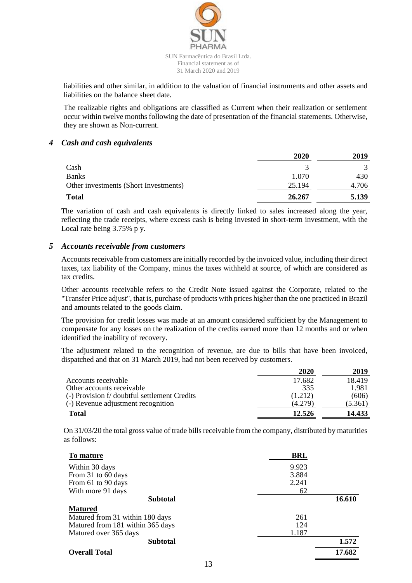

liabilities and other similar, in addition to the valuation of financial instruments and other assets and liabilities on the balance sheet date.

The realizable rights and obligations are classified as Current when their realization or settlement occur within twelve months following the date of presentation of the financial statements. Otherwise, they are shown as Non-current.

#### *4 Cash and cash equivalents*

|                                       | 2020   | 2019  |
|---------------------------------------|--------|-------|
| Cash                                  |        | 3     |
| <b>Banks</b>                          | 1.070  | 430   |
| Other investments (Short Investments) | 25.194 | 4.706 |
| <b>Total</b>                          | 26.267 | 5.139 |

The variation of cash and cash equivalents is directly linked to sales increased along the year, reflecting the trade receipts, where excess cash is being invested in short-term investment, with the Local rate being 3.75% p y.

### *5 Accounts receivable from customers*

Accounts receivable from customers are initially recorded by the invoiced value, including their direct taxes, tax liability of the Company, minus the taxes withheld at source, of which are considered as tax credits.

Other accounts receivable refers to the Credit Note issued against the Corporate, related to the "Transfer Price adjust", that is, purchase of products with prices higher than the one practiced in Brazil and amounts related to the goods claim.

The provision for credit losses was made at an amount considered sufficient by the Management to compensate for any losses on the realization of the credits earned more than 12 months and or when identified the inability of recovery.

The adjustment related to the recognition of revenue, are due to bills that have been invoiced, dispatched and that on 31 March 2019, had not been received by customers.

|                                              | 2020    | 2019    |
|----------------------------------------------|---------|---------|
| Accounts receivable                          | 17.682  | 18.419  |
| Other accounts receivable                    | 335     | 1.981   |
| (-) Provision f/ doubtful settlement Credits | (1.212) | (606)   |
| (-) Revenue adjustment recognition           | (4.279) | (5.361) |
| <b>Total</b>                                 | 12.526  | 14.433  |

On 31/03/20 the total gross value of trade bills receivable from the company, distributed by maturities as follows:

| To mature                        | <b>BRL</b> |        |
|----------------------------------|------------|--------|
| Within 30 days                   | 9.923      |        |
| From 31 to 60 days               | 3.884      |        |
| From 61 to 90 days               | 2.241      |        |
| With more 91 days                | 62         |        |
| <b>Subtotal</b>                  |            | 16.610 |
| <b>Matured</b>                   |            |        |
| Matured from 31 within 180 days  | 261        |        |
| Matured from 181 within 365 days | 124        |        |
| Matured over 365 days            | 1.187      |        |
| <b>Subtotal</b>                  |            | 1.572  |
| <b>Overall Total</b>             |            | 17.682 |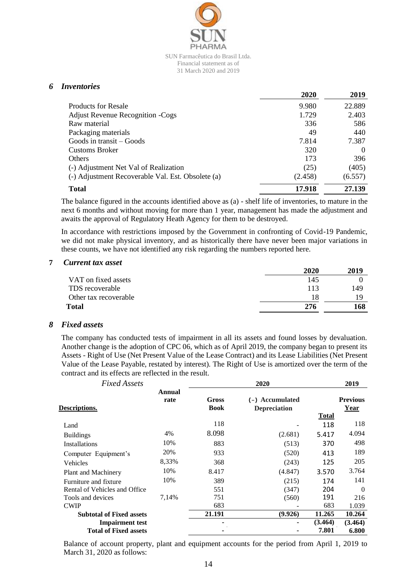

### *6 Inventories*

|                                                   | 2020    | 2019     |
|---------------------------------------------------|---------|----------|
| <b>Products for Resale</b>                        | 9.980   | 22.889   |
| <b>Adjust Revenue Recognition - Cogs</b>          | 1.729   | 2.403    |
| Raw material                                      | 336     | 586      |
| Packaging materials                               | 49      | 440      |
| Goods in transit – Goods                          | 7.814   | 7.387    |
| <b>Customs Broker</b>                             | 320     | $\Omega$ |
| <b>Others</b>                                     | 173     | 396      |
| (-) Adjustment Net Val of Realization             | (25)    | (405)    |
| (-) Adjustment Recoverable Val. Est. Obsolete (a) | (2.458) | (6.557)  |
| <b>Total</b>                                      | 17.918  | 27.139   |

The balance figured in the accounts identified above as (a) - shelf life of inventories, to mature in the next 6 months and without moving for more than 1 year, management has made the adjustment and awaits the approval of Regulatory Heath Agency for them to be destroyed.

In accordance with restrictions imposed by the Government in confronting of Covid-19 Pandemic, we did not make physical inventory, and as historically there have never been major variations in these counts, we have not identified any risk regarding the numbers reported here.

#### **7** *Current tax asset*

|                       | 2020 | 2019 |
|-----------------------|------|------|
| VAT on fixed assets   | 145  |      |
| TDS recoverable       | 113  | 149  |
| Other tax recoverable | 18   |      |
| Total                 | 276  | 168  |

#### *8 Fixed assets*

The company has conducted tests of impairment in all its assets and found losses by devaluation. Another change is the adoption of CPC 06, which as of April 2019, the company began to present its Assets - Right of Use (Net Present Value of the Lease Contract) and its Lease Liabilities (Net Present Value of the Lease Payable, restated by interest). The Right of Use is amortized over the term of the contract and its effects are reflected in the result.

| <b>Fixed Assets</b>             |                |                      | 2020                                   | 2019         |                         |  |  |
|---------------------------------|----------------|----------------------|----------------------------------------|--------------|-------------------------|--|--|
| Descriptions.                   | Annual<br>rate | Gross<br><b>Book</b> | (-) Accumulated<br><b>Depreciation</b> | <b>Total</b> | <b>Previous</b><br>Year |  |  |
| Land                            |                | 118                  |                                        | 118          | 118                     |  |  |
| <b>Buildings</b>                | 4%             | 8.098                | (2.681)                                | 5.417        | 4.094                   |  |  |
| Installations                   | 10%            | 883                  | (513)                                  | 370          | 498                     |  |  |
| Computer Equipment's            | 20%            | 933                  | (520)                                  | 413          | 189                     |  |  |
| Vehicles                        | 8,33%          | 368                  | (243)                                  | 125          | 205                     |  |  |
| Plant and Machinery             | 10%            | 8.417                | (4.847)                                | 3.570        | 3.764                   |  |  |
| Furniture and fixture           | 10%            | 389                  | (215)                                  | 174          | 141                     |  |  |
| Rental of Vehicles and Office   |                | 551                  | (347)                                  | 204          | $\theta$                |  |  |
| Tools and devices               | 7,14%          | 751                  | (560)                                  | 191          | 216                     |  |  |
| <b>CWIP</b>                     |                | 683                  |                                        | 683          | 1.039                   |  |  |
| <b>Subtotal of Fixed assets</b> |                | 21.191               | (9.926)                                | 11.265       | 10.264                  |  |  |
| <b>Impairment test</b>          |                |                      |                                        | (3.464)      | (3.464)                 |  |  |
| <b>Total of Fixed assets</b>    |                |                      |                                        | 7.801        | 6.800                   |  |  |

Balance of account property, plant and equipment accounts for the period from April 1, 2019 to March 31, 2020 as follows: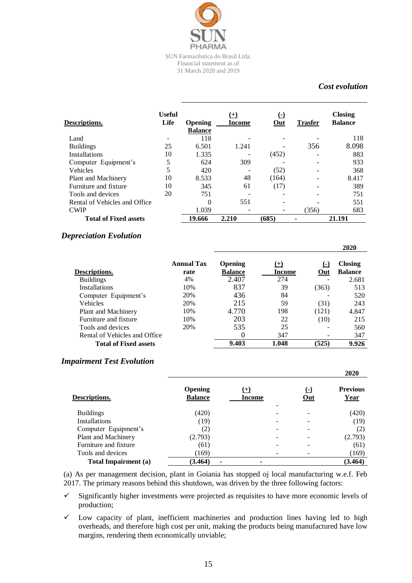

# *Cost evolution*

| <b>Descriptions.</b>          | <b>Useful</b><br>Life | <b>Opening</b><br><b>Balance</b> | $^{(+)}$<br>Income | ( – )<br>Out | <b>Trasfer</b> | <b>Closing</b><br><b>Balance</b> |
|-------------------------------|-----------------------|----------------------------------|--------------------|--------------|----------------|----------------------------------|
| Land                          |                       | 118                              |                    |              |                | 118                              |
| <b>Buildings</b>              | 25                    | 6.501                            | 1.241              |              | 356            | 8.098                            |
| <b>Installations</b>          | 10                    | 1.335                            |                    | (452)        |                | 883                              |
| Computer Equipment's          | 5                     | 624                              | 309                |              |                | 933                              |
| Vehicles                      | 5                     | 420                              |                    | (52)         |                | 368                              |
| Plant and Machinery           | 10                    | 8.533                            | 48                 | (164)        |                | 8.417                            |
| Furniture and fixture         | 10                    | 345                              | 61                 | (17)         |                | 389                              |
| Tools and devices             | 20                    | 751                              |                    |              |                | 751                              |
| Rental of Vehicles and Office |                       | $\Omega$                         | 551                |              |                | 551                              |
| <b>CWIP</b>                   |                       | 1.039                            |                    |              | (356)          | 683                              |
| <b>Total of Fixed assets</b>  |                       | 19.666                           | 2.210              | (685)        |                | 21.191                           |

### *Depreciation Evolution*

|                               |                           |                                  |                        |              | 2020                             |
|-------------------------------|---------------------------|----------------------------------|------------------------|--------------|----------------------------------|
| Descriptions.                 | <b>Annual Tax</b><br>rate | <b>Opening</b><br><b>Balance</b> | $(+)$<br><b>Income</b> | ( – )<br>Out | <b>Closing</b><br><b>Balance</b> |
| <b>Buildings</b>              | 4%                        | 2.407                            | 274                    |              | 2.681                            |
| <b>Installations</b>          | 10%                       | 837                              | 39                     | (363)        | 513                              |
| Computer Equipment's          | 20%                       | 436                              | 84                     |              | 520                              |
| <b>Vehicles</b>               | 20%                       | 215                              | 59                     | (31)         | 243                              |
| Plant and Machinery           | 10%                       | 4.770                            | 198                    | (121)        | 4.847                            |
| Furniture and fixture         | 10%                       | 203                              | 22                     | (10)         | 215                              |
| Tools and devices             | 20%                       | 535                              | 25                     |              | 560                              |
| Rental of Vehicles and Office |                           |                                  | 347                    |              | 347                              |
| <b>Total of Fixed assets</b>  |                           | 9.403                            | 1.048                  | (525)        | 9.926                            |

#### *Impairment Test Evolution*

|                       |                                  |                 |             | 2020                    |
|-----------------------|----------------------------------|-----------------|-------------|-------------------------|
| Descriptions.         | <b>Opening</b><br><b>Balance</b> | $(+)$<br>Income | е.<br>$Out$ | <b>Previous</b><br>Year |
| <b>Buildings</b>      | (420)                            |                 |             | (420)                   |
| <b>Installations</b>  | (19)                             |                 |             | (19)                    |
| Computer Equipment's  | (2)                              |                 |             | (2)                     |
| Plant and Machinery   | (2.793)                          |                 |             | (2.793)                 |
| Furniture and fixture | (61)                             |                 |             | (61)                    |
| Tools and devices     | (169)                            |                 |             | (169)                   |
| Total Impairment (a)  | (3.464)<br>-                     |                 |             | (3.464)                 |

(a) As per management decision, plant in Goiania has stopped oj local manufacturing w.e.f. Feb 2017. The primary reasons behind this shutdown, was driven by the three following factors:

 $\checkmark$  Significantly higher investments were projected as requisites to have more economic levels of production;

 $\checkmark$  Low capacity of plant, inefficient machineries and production lines having led to high overheads, and therefore high cost per unit, making the products being manufactured have low margins, rendering them economically unviable;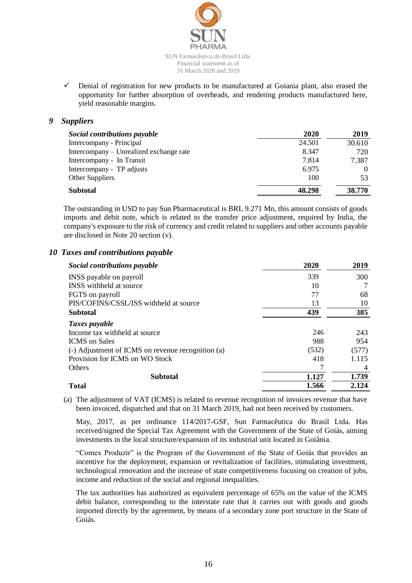

 $\checkmark$  Denial of registration for new products to be manufactured at Goiania plant, also erased the opportunity for further absorption of overheads, and rendering products manufactured here, yield reasonable margins.

# *9 Suppliers*

| Social contributions payable            | 2020   | 2019   |
|-----------------------------------------|--------|--------|
| Intercompany - Principal                | 24.501 | 30.610 |
| Intercompany – Unrealized exchange rate | 8.347  | 720    |
| Intercompany - In Transit               | 7.814  | 7.387  |
| Intercompany - TP adjusts               | 6.975  |        |
| <b>Other Suppliers</b>                  | 100    | 53     |
| <b>Subtotal</b>                         | 48.298 | 38.770 |

The outstanding in USD to pay Sun Pharmaceutical is BRL 9.271 Mn, this amount consists of goods imports and debit note, which is related to the transfer price adjustment, required by India, the company's exposure to the risk of currency and credit related to suppliers and other accounts payable are disclosed in Note 20 section (v).

# *10 Taxes and contributions payable*

| Social contributions payable                      | 2020  | 2019  |
|---------------------------------------------------|-------|-------|
| INSS payable on payroll                           | 339   | 300   |
| <b>INSS</b> withheld at source                    | 10    |       |
| FGTS on payroll                                   | 77    | 68    |
| PIS/COFINS/CSSL/ISS withheld at source            | 13    | 10    |
| <b>Subtotal</b>                                   | 439   | 385   |
| Taxes payable                                     |       |       |
| Income tax withheld at source                     | 246   | 243   |
| <b>ICMS</b> on Sales                              | 988   | 954   |
| (-) Adjustment of ICMS on revenue recognition (a) | (532) | (577) |
| Provision for ICMS on WO Stock                    | 418   | 1.115 |
| <b>Others</b>                                     |       | 4     |
| <b>Subtotal</b>                                   | 1.127 | 1.739 |
| <b>Total</b>                                      | 1.566 | 2.124 |

(a) The adjustment of VAT (ICMS) is related to revenue recognition of invoices revenue that have been invoiced, dispatched and that on 31 March 2019, had not been received by customers.

May, 2017, as per ordinance 114/2017-GSF, Sun Farmacêutica do Brasil Ltda. Has received/signed the Special Tax Agreement with the Government of the State of Goiás, aiming investments in the local structure/expansion of its industrial unit located in Goiânia.

"Comex Produzir" is the Program of the Government of the State of Goiás that provides an incentive for the deployment, expansion or revitalization of facilities, stimulating investment, technological renovation and the increase of state competitiveness focusing on creation of jobs, income and reduction of the social and regional inequalities.

The tax authorities has authorized as equivalent percentage of 65% on the value of the ICMS debit balance, corresponding to the interstate rate that it carries out with goods and goods imported directly by the agreement, by means of a secondary zone port structure in the State of Goiás.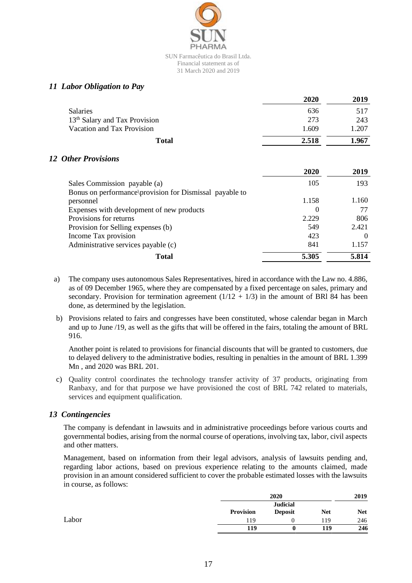

# *11 Labor Obligation to Pay*

|                                           | 2020  | 2019  |
|-------------------------------------------|-------|-------|
| <b>Salaries</b>                           | 636   | 517   |
| 13 <sup>th</sup> Salary and Tax Provision | 273   | 243   |
| Vacation and Tax Provision                | 1.609 | 1.207 |
| Total                                     | 2.518 | 1.967 |

# *12 Other Provisions*

|                                                         | 2020     | 2019  |
|---------------------------------------------------------|----------|-------|
| Sales Commission payable (a)                            | 105      | 193   |
| Bonus on performance provision for Dismissal payable to |          |       |
| personnel                                               | 1.158    | 1.160 |
| Expenses with development of new products               | $\theta$ |       |
| Provisions for returns                                  | 2.229    | 806   |
| Provision for Selling expenses (b)                      | 549      | 2.421 |
| Income Tax provision                                    | 423      |       |
| Administrative services payable (c)                     | 841      | 1.157 |
| <b>Total</b>                                            | 5.305    | 5.814 |

- a) The company uses autonomous Sales Representatives, hired in accordance with the Law no. 4.886, as of 09 December 1965, where they are compensated by a fixed percentage on sales, primary and secondary. Provision for termination agreement  $(1/12 + 1/3)$  in the amount of BRI 84 has been done, as determined by the legislation.
- b) Provisions related to fairs and congresses have been constituted, whose calendar began in March and up to June /19, as well as the gifts that will be offered in the fairs, totaling the amount of BRL 916.

Another point is related to provisions for financial discounts that will be granted to customers, due to delayed delivery to the administrative bodies, resulting in penalties in the amount of BRL 1.399 Mn , and 2020 was BRL 201.

c) Quality control coordinates the technology transfer activity of 37 products, originating from Ranbaxy, and for that purpose we have provisioned the cost of BRL 742 related to materials, services and equipment qualification.

# *13 Contingencies*

The company is defendant in lawsuits and in administrative proceedings before various courts and governmental bodies, arising from the normal course of operations, involving tax, labor, civil aspects and other matters.

Management, based on information from their legal advisors, analysis of lawsuits pending and, regarding labor actions, based on previous experience relating to the amounts claimed, made provision in an amount considered sufficient to cover the probable estimated losses with the lawsuits in course, as follows:

|       |           | 2020                              |            | 2019       |
|-------|-----------|-----------------------------------|------------|------------|
|       | Provision | <b>Judicial</b><br><b>Deposit</b> | <b>Net</b> | <b>Net</b> |
| Labor | 119       |                                   | 119        | 246        |
|       | 119       |                                   | 119        | 246        |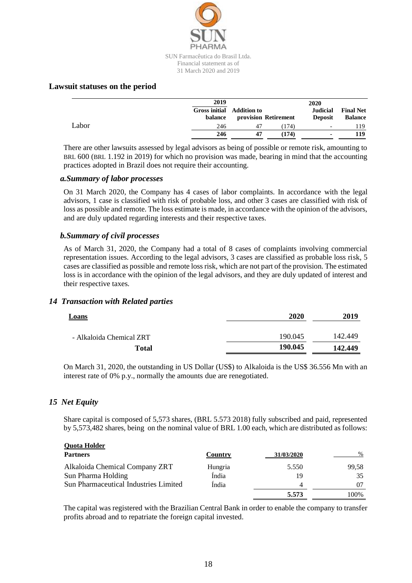

31 March 2020 and 2019

# **Lawsuit statuses on the period**

|       | 2019<br><b>Gross initial</b> Addition to<br>balance |    | provision Retirement | 2020<br>Judicial<br><b>Deposit</b> | <b>Final Net</b><br><b>Balance</b> |
|-------|-----------------------------------------------------|----|----------------------|------------------------------------|------------------------------------|
| Labor | 246                                                 | 47 | (174)                | $\overline{\phantom{a}}$           | 119.                               |
|       | 246                                                 | 47 | (174)                | $\blacksquare$                     | 119                                |

There are other lawsuits assessed by legal advisors as being of possible or remote risk, amounting to BRL 600 (BRL 1.192 in 2019) for which no provision was made, bearing in mind that the accounting practices adopted in Brazil does not require their accounting.

# *a.Summary of labor processes*

On 31 March 2020, the Company has 4 cases of labor complaints. In accordance with the legal advisors, 1 case is classified with risk of probable loss, and other 3 cases are classified with risk of loss as possible and remote. The loss estimate is made, in accordance with the opinion of the advisors, and are duly updated regarding interests and their respective taxes.

# *b.Summary of civil processes*

As of March 31, 2020, the Company had a total of 8 cases of complaints involving commercial representation issues. According to the legal advisors, 3 cases are classified as probable loss risk, 5 cases are classified as possible and remote loss risk, which are not part of the provision. The estimated loss is in accordance with the opinion of the legal advisors, and they are duly updated of interest and their respective taxes.

# *14 Transaction with Related parties*

| <b>Loans</b>             | 2020    | 2019    |
|--------------------------|---------|---------|
| - Alkaloida Chemical ZRT | 190.045 | 142.449 |
| Total                    | 190.045 | 142.449 |

On March 31, 2020, the outstanding in US Dollar (US\$) to Alkaloida is the US\$ 36.556 Mn with an interest rate of 0% p.y., normally the amounts due are renegotiated.

# *15 Net Equity*

Share capital is composed of 5,573 shares, (BRL 5.573 2018) fully subscribed and paid, represented by 5,573,482 shares, being on the nominal value of BRL 1.00 each, which are distributed as follows:

| <b>Quota Holder</b>                          |         |            |       |
|----------------------------------------------|---------|------------|-------|
| <b>Partners</b>                              | Country | 31/03/2020 | $\%$  |
| Alkaloida Chemical Company ZRT               | Hungria | 5.550      | 99.58 |
| Sun Pharma Holding                           | Índia   | 19         | 35    |
| <b>Sun Pharmaceutical Industries Limited</b> | Índia   | 4          |       |
|                                              |         | 5.573      | 100%  |

The capital was registered with the Brazilian Central Bank in order to enable the company to transfer profits abroad and to repatriate the foreign capital invested.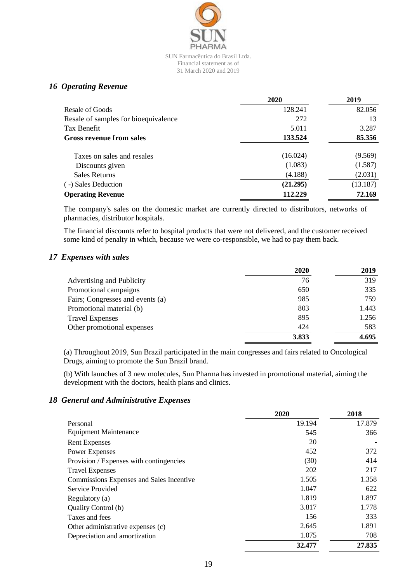

# *16 Operating Revenue*

|                                      | 2020     | 2019     |
|--------------------------------------|----------|----------|
| Resale of Goods                      | 128.241  | 82.056   |
| Resale of samples for bioequivalence | 272      | 13       |
| Tax Benefit                          | 5.011    | 3.287    |
| Gross revenue from sales             | 133.524  | 85.356   |
| Taxes on sales and resales           | (16.024) | (9.569)  |
| Discounts given                      | (1.083)  | (1.587)  |
| <b>Sales Returns</b>                 | (4.188)  | (2.031)  |
| (-) Sales Deduction                  | (21.295) | (13.187) |
| <b>Operating Revenue</b>             | 112.229  | 72.169   |

The company's sales on the domestic market are currently directed to distributors, networks of pharmacies, distributor hospitals.

The financial discounts refer to hospital products that were not delivered, and the customer received some kind of penalty in which, because we were co-responsible, we had to pay them back.

# *17 Expenses with sales*

|                                  | 2020  | 2019  |
|----------------------------------|-------|-------|
| Advertising and Publicity        | 76    | 319   |
| Promotional campaigns            | 650   | 335   |
| Fairs; Congresses and events (a) | 985   | 759   |
| Promotional material (b)         | 803   | 1.443 |
| <b>Travel Expenses</b>           | 895   | 1.256 |
| Other promotional expenses       | 424   | 583   |
|                                  | 3.833 | 4.695 |

(a) Throughout 2019, Sun Brazil participated in the main congresses and fairs related to Oncological Drugs, aiming to promote the Sun Brazil brand.

(b) With launches of 3 new molecules, Sun Pharma has invested in promotional material, aiming the development with the doctors, health plans and clinics.

# *18 General and Administrative Expenses*

|                                          | 2020   | 2018   |
|------------------------------------------|--------|--------|
| Personal                                 | 19.194 | 17.879 |
| <b>Equipment Maintenance</b>             | 545    | 366    |
| <b>Rent Expenses</b>                     | 20     |        |
| <b>Power Expenses</b>                    | 452    | 372    |
| Provision / Expenses with contingencies  | (30)   | 414    |
| <b>Travel Expenses</b>                   | 202    | 217    |
| Commissions Expenses and Sales Incentive | 1.505  | 1.358  |
| Service Provided                         | 1.047  | 622    |
| Regulatory (a)                           | 1.819  | 1.897  |
| Quality Control (b)                      | 3.817  | 1.778  |
| Taxes and fees                           | 156    | 333    |
| Other administrative expenses (c)        | 2.645  | 1.891  |
| Depreciation and amortization            | 1.075  | 708    |
|                                          | 32.477 | 27.835 |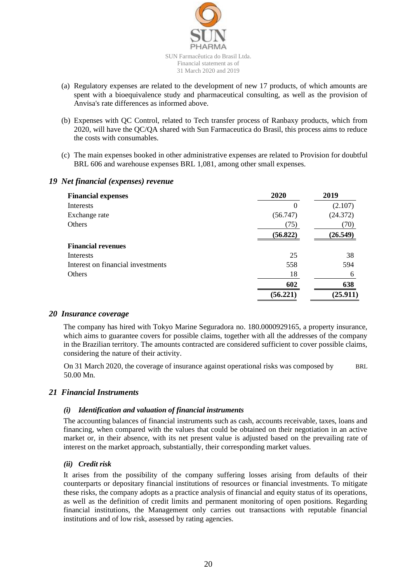

- (a) Regulatory expenses are related to the development of new 17 products, of which amounts are spent with a bioequivalence study and pharmaceutical consulting, as well as the provision of Anvisa's rate differences as informed above.
- (b) Expenses with QC Control, related to Tech transfer process of Ranbaxy products, which from 2020, will have the QC/QA shared with Sun Farmaceutica do Brasil, this process aims to reduce the costs with consumables.
- (c) The main expenses booked in other administrative expenses are related to Provision for doubtful BRL 606 and warehouse expenses BRL 1,081, among other small expenses.

# **Financial expenses 2020 2019** Interests  $0$  (2.107) Exchange rate (56.747) (24.372) Others  $(75)$   $(70)$ **(56.822) (26.549) Financial revenues** Interests 25 38 Interest on financial investments 558 594 Others 18 6 **602 638 (56.221) (25.911)**

# *19 Net financial (expenses) revenue*

# *20 Insurance coverage*

The company has hired with Tokyo Marine Seguradora no. 180.0000929165, a property insurance, which aims to guarantee covers for possible claims, together with all the addresses of the company in the Brazilian territory. The amounts contracted are considered sufficient to cover possible claims, considering the nature of their activity.

On 31 March 2020, the coverage of insurance against operational risks was composed by BRL 50.00 Mn.

# *21 Financial Instruments*

# *(i) Identification and valuation of financial instruments*

The accounting balances of financial instruments such as cash, accounts receivable, taxes, loans and financing, when compared with the values that could be obtained on their negotiation in an active market or, in their absence, with its net present value is adjusted based on the prevailing rate of interest on the market approach, substantially, their corresponding market values.

# *(ii) Credit risk*

It arises from the possibility of the company suffering losses arising from defaults of their counterparts or depositary financial institutions of resources or financial investments. To mitigate these risks, the company adopts as a practice analysis of financial and equity status of its operations, as well as the definition of credit limits and permanent monitoring of open positions. Regarding financial institutions, the Management only carries out transactions with reputable financial institutions and of low risk, assessed by rating agencies.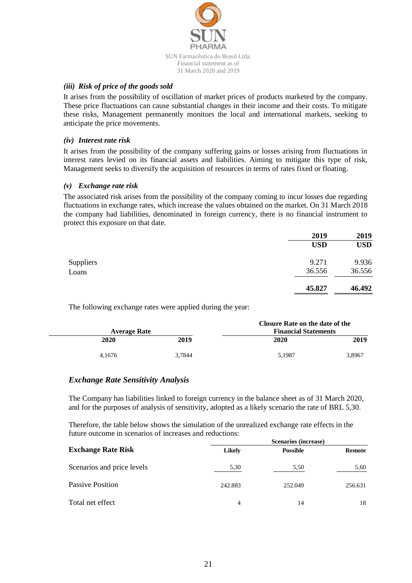

### *(iii) Risk of price of the goods sold*

It arises from the possibility of oscillation of market prices of products marketed by the company. These price fluctuations can cause substantial changes in their income and their costs. To mitigate these risks, Management permanently monitors the local and international markets, seeking to anticipate the price movements.

#### *(iv) Interest rate risk*

It arises from the possibility of the company suffering gains or losses arising from fluctuations in interest rates levied on its financial assets and liabilities. Aiming to mitigate this type of risk, Management seeks to diversify the acquisition of resources in terms of rates fixed or floating.

### *(v) Exchange rate risk*

The associated risk arises from the possibility of the company coming to incur losses due regarding fluctuations in exchange rates, which increase the values obtained on the market. On 31 March 2018 the company had liabilities, denominated in foreign currency, there is no financial instrument to protect this exposure on that date.

|           | 2019       | 2019       |
|-----------|------------|------------|
|           | <b>USD</b> | <b>USD</b> |
| Suppliers | 9.271      | 9.936      |
| Loans     | 36.556     | 36.556     |
|           | 45.827     | 46.492     |
|           |            |            |

The following exchange rates were applied during the year:

|              |        |                             | Closure Rate on the date of the |        |
|--------------|--------|-----------------------------|---------------------------------|--------|
| Average Rate |        | <b>Financial Statements</b> |                                 |        |
|              | 2020   | 2019                        | 2020                            | 2019   |
|              | 4.1676 | 3.7844                      | 5.1987                          | 3.8967 |

# *Exchange Rate Sensitivity Analysis*

The Company has liabilities linked to foreign currency in the balance sheet as of 31 March 2020, and for the purposes of analysis of sensitivity, adopted as a likely scenario the rate of BRL 5,30.

Therefore, the table below shows the simulation of the unrealized exchange rate effects in the future outcome in scenarios of increases and reductions:

|                            | Scenarios (increase) |                 |         |
|----------------------------|----------------------|-----------------|---------|
| <b>Exchange Rate Risk</b>  | <b>Likely</b>        | <b>Possible</b> | Remote  |
| Scenarios and price levels | 5,30                 | 5,50            | 5,60    |
| Passive Position           | 242.883              | 252.049         | 256.631 |
| Total net effect           | 4                    | 14              | 18      |